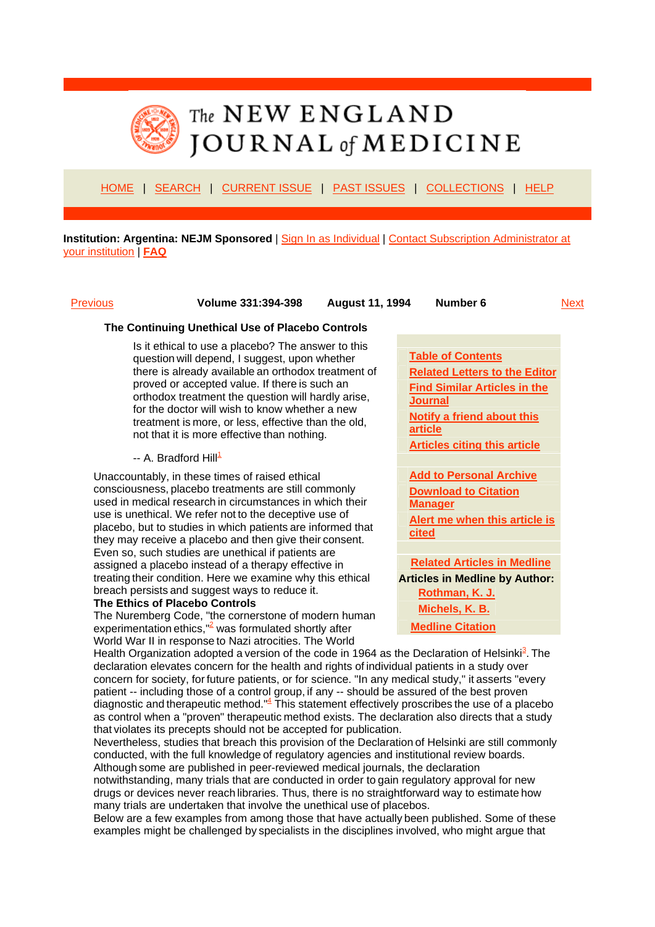

# The NEW ENGLAND JOURNAL of MEDICINE

[HOME](http://content.nejm.org/) | [SEARCH](http://content.nejm.org/search.dtl) | [CURRENT ISSUE](http://content.nejm.org/current.shtml) | [PAST ISSUES](http://content.nejm.org/contents-by-date.0.shtml) | [COLLECTIONS](http://content.nejm.org/collections/) | [HELP](http://content.nejm.org/help/) 

# **Institution: Argentina: NEJM Sponsored | [Sign In as Individual](http://content.nejm.org/cgi/login?uri=%2Fcgi%2Fcontent%2Ffull%2F331%2F6%2F394%3Fijkey%3Da4cde8a4ec9f9fdc8d15ced82ce06c3b29d12795%26keytype2%3Dtf_ipsecsha) | Contact Subscription Administrator at** [your institution](mailto:defaultaddress@nejm.org) | **[FAQ](http://content.nejm.org/subscriptions/institutional-faq.shtml)**

[Previous](http://content.nejm.org/cgi/content/short/331/6/393) **Volume 331:394-398 August 11, 1994 Number 6** [Next](http://content.nejm.org/cgi/content/short/331/6/399)

# **The Continuing Unethical Use of Placebo Controls**

Is it ethical to use a placebo? The answer to this question will depend, I suggest, upon whether there is already available an orthodox treatment of proved or accepted value. If there is such an orthodox treatment the question will hardly arise, for the doctor will wish to know whether a new treatment is more, or less, effective than the old, not that it is more effective than nothing.

-- A. Bradford Hill<sup>[1](http://content.nejm.org/cgi/content/full/331/6/394?ijkey=a4cde8a4ec9f9fdc8d15ced82ce06c3b29d12795&keytype2=tf_ipsecsha#R1)</sup>

Unaccountably, in these times of raised ethical **[Add to Personal Archive](http://content.nejm.org/cgi/folders?action=addtofolder&wherefrom=JOURNALS&wrapped_id=nejm;331/6/394)** consciousness, placebo treatments are still commonly used in medical research in circumstances in which their use is unethical. We refer not to the deceptive use of placebo, but to studies in which patients are informed that they may receive a placebo and then give their consent. Even so, such studies are unethical if patients are assigned a placebo instead of a therapy effective in treating their condition. Here we examine why this ethical breach persists and suggest ways to reduce it.

**The Ethics of Placebo Controls**

The Nuremberg Code, "the cornerstone of modern human experimentation ethics,"<sup>2</sup> was formulated shortly after World War II in response to Nazi atrocities. The World

**[Table of Contents](http://content.nejm.org/content/vol331/issue6/index.shtml) [Related Letters to the Editor](http://content.nejm.org/cgi/content/full/331/6/394?ijkey=a4cde8a4ec9f9fdc8d15ced82ce06c3b29d12795&keytype2=tf_ipsecsha#related_letters) [Find Similar Articles in the](http://content.nejm.org/cgi/search?qbe=nejm;331/6/394&journalcode=nejm&minscore=5000)  [Journal](http://content.nejm.org/cgi/search?qbe=nejm;331/6/394&journalcode=nejm&minscore=5000) [Notify a friend about this](http://content.nejm.org/cgi/mailafriend?url=http://content.nejm.org/cgi/content/short/331/6/394&title=The+Continuing+Unethical+Use+of+Placebo+Controls)  [article](http://content.nejm.org/cgi/mailafriend?url=http://content.nejm.org/cgi/content/short/331/6/394&title=The+Continuing+Unethical+Use+of+Placebo+Controls) [Articles citing this article](http://content.nejm.org/cgi/content/full/331/6/394?ijkey=a4cde8a4ec9f9fdc8d15ced82ce06c3b29d12795&keytype2=tf_ipsecsha#otherarticles)**

 **[Download to Citation](http://content.nejm.org/cgi/citmgr?gca=nejm;331/6/394)  [Manager](http://content.nejm.org/cgi/citmgr?gca=nejm;331/6/394) [Alert me when this article is](http://content.nejm.org/cgi/alerts/ctalert?alertType=citedby&addAlert=cited_by&saveAlert=no&cited_by_criteria_resid=nejm;331/6/394&return_type=article&return_url=%2Fcgi%2Fcontent%2Ffull%2F331%2F6%2F394%3Fijkey%3Da4cde8a4ec9f9fdc8d15ced82ce06c3b)  [cited](http://content.nejm.org/cgi/alerts/ctalert?alertType=citedby&addAlert=cited_by&saveAlert=no&cited_by_criteria_resid=nejm;331/6/394&return_type=article&return_url=%2Fcgi%2Fcontent%2Ffull%2F331%2F6%2F394%3Fijkey%3Da4cde8a4ec9f9fdc8d15ced82ce06c3b)**

**[Related Articles in Medline](http://content.nejm.org/cgi/external_ref?access_num=8028622&link_type=MED_NBRS)**

**Articles in Medline by Author: [Rothman, K. J.](http://content.nejm.org/cgi/external_ref?access_num=Rothman+KJ&link_type=AUTHORSEARCH) [Michels, K. B.](http://content.nejm.org/cgi/external_ref?access_num=Michels+KB&link_type=AUTHORSEARCH)**

**[Medline Citation](http://content.nejm.org/cgi/external_ref?access_num=8028622&link_type=PUBMED)**

Health Organization adopted a version of the code in 1964 as the Declaration of Helsinki<sup>[3](http://content.nejm.org/cgi/content/full/331/6/394?ijkey=a4cde8a4ec9f9fdc8d15ced82ce06c3b29d12795&keytype2=tf_ipsecsha#R3)</sup>. The declaration elevates concern for the health and rights of individual patients in a study over concern for society, for future patients, or for science. "In any medical study," it asserts "every patient -- including those of a control group, if any -- should be assured of the best proven diagnostic and therapeutic method."<sup>4</sup> This statement effectively proscribes the use of a placebo as control when a "proven" therapeutic method exists. The declaration also directs that a study that violates its precepts should not be accepted for publication.

Nevertheless, studies that breach this provision of the Declaration of Helsinki are still commonly conducted, with the full knowledge of regulatory agencies and institutional review boards. Although some are published in peer-reviewed medical journals, the declaration

notwithstanding, many trials that are conducted in order to gain regulatory approval for new drugs or devices never reach libraries. Thus, there is no straightforward way to estimate how many trials are undertaken that involve the unethical use of placebos.

Below are a few examples from among those that have actually been published. Some of these examples might be challenged by specialists in the disciplines involved, who might argue that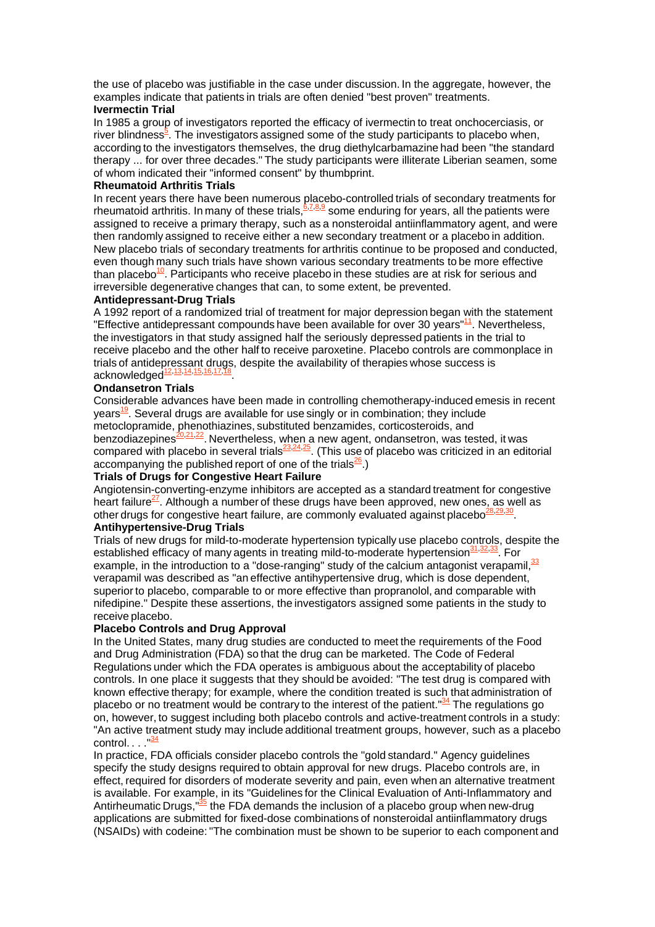the use of placebo was justifiable in the case under discussion. In the aggregate, however, the examples indicate that patients in trials are often denied "best proven" treatments.

# **Ivermectin Trial**

In 1985 a group of investigators reported the efficacy of ivermectin to treat onchocerciasis, or river blindness<sup>[5](http://content.nejm.org/cgi/content/full/331/6/394?ijkey=a4cde8a4ec9f9fdc8d15ced82ce06c3b29d12795&keytype2=tf_ipsecsha#R5)</sup>. The investigators assigned some of the study participants to placebo when, according to the investigators themselves, the drug diethylcarbamazine had been "the standard therapy ... for over three decades." The study participants were illiterate Liberian seamen, some of whom indicated their "informed consent" by thumbprint.

#### **Rheumatoid Arthritis Trials**

In recent years there have been numerous placebo-controlled trials of secondary treatments for rheumatoid arthritis. In many of these trials,  $67.8.9$  $67.8.9$  $67.8.9$  $67.8.9$  some enduring for years, all the patients were assigned to receive a primary therapy, such as a nonsteroidal antiinflammatory agent, and were then randomly assigned to receive either a new secondary treatment or a placebo in addition. New placebo trials of secondary treatments for arthritis continue to be proposed and conducted, even though many such trials have shown various secondary treatments to be more effective than placebo $10$ . Participants who receive placebo in these studies are at risk for serious and irreversible degenerative changes that can, to some extent, be prevented.

#### **Antidepressant-Drug Trials**

A 1992 report of a randomized trial of treatment for major depression began with the statement "Effective antidepressant compounds have been available for over 30 years $\frac{n+1}{1}$ . Nevertheless, the investigators in that study assigned half the seriously depressed patients in the trial to receive placebo and the other half to receive paroxetine. Placebo controls are commonplace in trials of antidepressant drugs, despite the availability of therapies whose success is acknowledged<sup>[12](http://content.nejm.org/cgi/content/full/331/6/394?ijkey=a4cde8a4ec9f9fdc8d15ced82ce06c3b29d12795&keytype2=tf_ipsecsha#R12)[,13](http://content.nejm.org/cgi/content/full/331/6/394?ijkey=a4cde8a4ec9f9fdc8d15ced82ce06c3b29d12795&keytype2=tf_ipsecsha#R13)[,14](http://content.nejm.org/cgi/content/full/331/6/394?ijkey=a4cde8a4ec9f9fdc8d15ced82ce06c3b29d12795&keytype2=tf_ipsecsha#R14)[,15](http://content.nejm.org/cgi/content/full/331/6/394?ijkey=a4cde8a4ec9f9fdc8d15ced82ce06c3b29d12795&keytype2=tf_ipsecsha#R15)[,16](http://content.nejm.org/cgi/content/full/331/6/394?ijkey=a4cde8a4ec9f9fdc8d15ced82ce06c3b29d12795&keytype2=tf_ipsecsha#R16)[,17](http://content.nejm.org/cgi/content/full/331/6/394?ijkey=a4cde8a4ec9f9fdc8d15ced82ce06c3b29d12795&keytype2=tf_ipsecsha#R17)</sup>

#### **Ondansetron Trials**

Considerable advances have been made in controlling chemotherapy-induced emesis in recent years<sup>19</sup>. Several drugs are available for use singly or in combination; they include metoclopramide, phenothiazines, substituted benzamides, corticosteroids, and benzodiazepines<sup>20[,21](http://content.nejm.org/cgi/content/full/331/6/394?ijkey=a4cde8a4ec9f9fdc8d15ced82ce06c3b29d12795&keytype2=tf_ipsecsha#R21)[,22](http://content.nejm.org/cgi/content/full/331/6/394?ijkey=a4cde8a4ec9f9fdc8d15ced82ce06c3b29d12795&keytype2=tf_ipsecsha#R22)</sup>. Nevertheless, when a new agent, ondansetron, was tested, it was compared with placebo in several trials<sup>[23,](http://content.nejm.org/cgi/content/full/331/6/394?ijkey=a4cde8a4ec9f9fdc8d15ced82ce06c3b29d12795&keytype2=tf_ipsecsha#R23)[24,](http://content.nejm.org/cgi/content/full/331/6/394?ijkey=a4cde8a4ec9f9fdc8d15ced82ce06c3b29d12795&keytype2=tf_ipsecsha#R24)25</sup>. (This use of placebo was criticized in an editorial accompanying the published report of one of the trials $\frac{26}{2}$  $\frac{26}{2}$  $\frac{26}{2}$ .

### **Trials of Drugs for Congestive Heart Failure**

Angiotensin-converting-enzyme inhibitors are accepted as a standard treatment for congestive heart failure<sup>[27](http://content.nejm.org/cgi/content/full/331/6/394?ijkey=a4cde8a4ec9f9fdc8d15ced82ce06c3b29d12795&keytype2=tf_ipsecsha#R27)</sup>. Although a number of these drugs have been approved, new ones, as well as other drugs for congestive heart failure, are commonly evaluated against placebo $^{28}$ 

#### **Antihypertensive-Drug Trials**

Trials of new drugs for mild-to-moderate hypertension typically use placebo controls, despite the established efficacy of many agents in treating mild-to-moderate hypertension $\frac{31,32,33}{1}$  $\frac{31,32,33}{1}$  $\frac{31,32,33}{1}$  $\frac{31,32,33}{1}$ . For example, in the introduction to a "dose-ranging" study of the calcium antagonist verapamil.<sup>[33](http://content.nejm.org/cgi/content/full/331/6/394?ijkey=a4cde8a4ec9f9fdc8d15ced82ce06c3b29d12795&keytype2=tf_ipsecsha#R33)</sup> verapamil was described as "an effective antihypertensive drug, which is dose dependent, superior to placebo, comparable to or more effective than propranolol, and comparable with nifedipine." Despite these assertions, the investigators assigned some patients in the study to receive placebo.

#### **Placebo Controls and Drug Approval**

In the United States, many drug studies are conducted to meet the requirements of the Food and Drug Administration (FDA) so that the drug can be marketed. The Code of Federal Regulations under which the FDA operates is ambiguous about the acceptability of placebo controls. In one place it suggests that they should be avoided: "The test drug is compared with known effective therapy; for example, where the condition treated is such that administration of placebo or no treatment would be contrary to the interest of the patient." $34$  The regulations go on, however, to suggest including both placebo controls and active-treatment controls in a study: "An active treatment study may include additional treatment groups, however, such as a placebo control.  $\frac{134}{2}$  $\frac{134}{2}$  $\frac{134}{2}$ 

In practice, FDA officials consider placebo controls the "gold standard." Agency guidelines specify the study designs required to obtain approval for new drugs. Placebo controls are, in effect, required for disorders of moderate severity and pain, even when an alternative treatment is available. For example, in its "Guidelines for the Clinical Evaluation of Anti-Inflammatory and Antirheumatic Drugs,"<sup>35</sup> the FDA demands the inclusion of a placebo group when new-drug applications are submitted for fixed-dose combinations of nonsteroidal antiinflammatory drugs (NSAIDs) with codeine:"The combination must be shown to be superior to each component and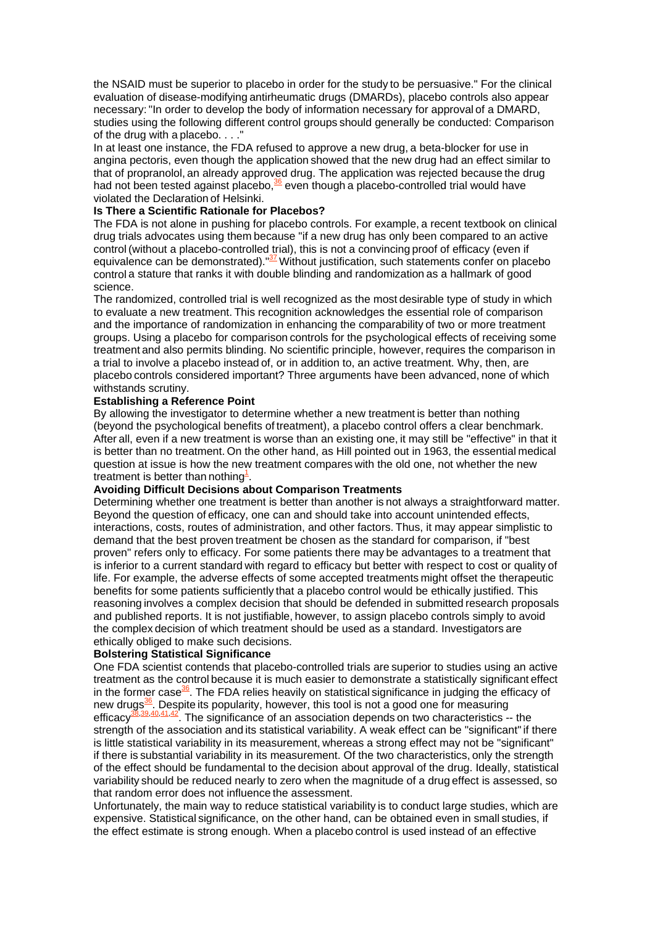the NSAID must be superior to placebo in order for the study to be persuasive." For the clinical evaluation of disease-modifying antirheumatic drugs (DMARDs), placebo controls also appear necessary:"In order to develop the body of information necessary for approval of a DMARD, studies using the following different control groups should generally be conducted: Comparison of the drug with a placebo. . . ."

In at least one instance, the FDA refused to approve a new drug, a beta-blocker for use in angina pectoris, even though the application showed that the new drug had an effect similar to that of propranolol, an already approved drug. The application was rejected because the drug had not been tested against placebo, <sup>[36](http://content.nejm.org/cgi/content/full/331/6/394?ijkey=a4cde8a4ec9f9fdc8d15ced82ce06c3b29d12795&keytype2=tf_ipsecsha#R36)</sup> even though a placebo-controlled trial would have violated the Declaration of Helsinki.

# **Is There a Scientific Rationale for Placebos?**

The FDA is not alone in pushing for placebo controls. For example, a recent textbook on clinical drug trials advocates using them because "if a new drug has only been compared to an active control (without a placebo-controlled trial), this is not a convincing proof of efficacy (even if equivalence can be demonstrated).  $\frac{37}{2}$  $\frac{37}{2}$  $\frac{37}{2}$  Without justification, such statements confer on placebo control a stature that ranks it with double blinding and randomization as a hallmark of good science.

The randomized, controlled trial is well recognized as the most desirable type of study in which to evaluate a new treatment. This recognition acknowledges the essential role of comparison and the importance of randomization in enhancing the comparability of two or more treatment groups. Using a placebo for comparison controls for the psychological effects of receiving some treatment and also permits blinding. No scientific principle, however, requires the comparison in a trial to involve a placebo instead of, or in addition to, an active treatment. Why, then, are placebo controls considered important? Three arguments have been advanced, none of which withstands scrutiny.

#### **Establishing a Reference Point**

By allowing the investigator to determine whether a new treatment is better than nothing (beyond the psychological benefits of treatment), a placebo control offers a clear benchmark. After all, even if a new treatment is worse than an existing one, it may still be "effective" in that it is better than no treatment. On the other hand, as Hill pointed out in 1963, the essential medical question at issue is how the new treatment compares with the old one, not whether the new treatment is better than nothing $^1$  $^1$ .

#### **Avoiding Difficult Decisions about Comparison Treatments**

Determining whether one treatment is better than another is not always a straightforward matter. Beyond the question of efficacy, one can and should take into account unintended effects, interactions, costs, routes of administration, and other factors. Thus, it may appear simplistic to demand that the best proven treatment be chosen as the standard for comparison, if "best proven" refers only to efficacy. For some patients there may be advantages to a treatment that is inferior to a current standard with regard to efficacy but better with respect to cost or quality of life. For example, the adverse effects of some accepted treatments might offset the therapeutic benefits for some patients sufficiently that a placebo control would be ethically justified. This reasoning involves a complex decision that should be defended in submitted research proposals and published reports. It is not justifiable, however, to assign placebo controls simply to avoid the complex decision of which treatment should be used as a standard. Investigators are ethically obliged to make such decisions.

#### **Bolstering Statistical Significance**

One FDA scientist contends that placebo-controlled trials are superior to studies using an active treatment as the control because it is much easier to demonstrate a statistically significant effect in the former case $\frac{36}{2}$ . The FDA relies heavily on statistical significance in judging the efficacy of new drugs<sup>36</sup>. Despite its popularity, however, this tool is not a good one for measuring efficacy<sup>38,[39](http://content.nejm.org/cgi/content/full/331/6/394?ijkey=a4cde8a4ec9f9fdc8d15ced82ce06c3b29d12795&keytype2=tf_ipsecsha#R39),[40](http://content.nejm.org/cgi/content/full/331/6/394?ijkey=a4cde8a4ec9f9fdc8d15ced82ce06c3b29d12795&keytype2=tf_ipsecsha#R40)[,41](http://content.nejm.org/cgi/content/full/331/6/394?ijkey=a4cde8a4ec9f9fdc8d15ced82ce06c3b29d12795&keytype2=tf_ipsecsha#R41)[,42](http://content.nejm.org/cgi/content/full/331/6/394?ijkey=a4cde8a4ec9f9fdc8d15ced82ce06c3b29d12795&keytype2=tf_ipsecsha#R42)</sup>. The significance of an association depends on two characteristics -- the strength of the association and its statistical variability. A weak effect can be "significant"if there is little statistical variability in its measurement, whereas a strong effect may not be "significant" if there is substantial variability in its measurement. Of the two characteristics, only the strength of the effect should be fundamental to the decision about approval of the drug. Ideally, statistical variability should be reduced nearly to zero when the magnitude of a drug effect is assessed, so that random error does not influence the assessment.

Unfortunately, the main way to reduce statistical variability is to conduct large studies, which are expensive. Statistical significance, on the other hand, can be obtained even in small studies, if the effect estimate is strong enough. When a placebo control is used instead of an effective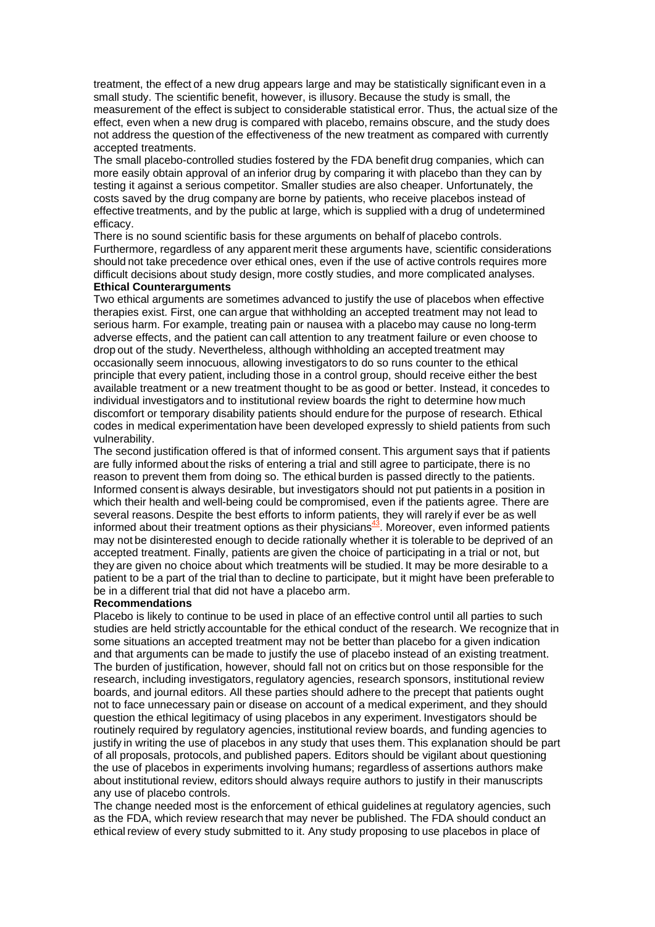treatment, the effect of a new drug appears large and may be statistically significant even in a small study. The scientific benefit, however, is illusory. Because the study is small, the measurement of the effect is subject to considerable statistical error. Thus, the actual size of the effect, even when a new drug is compared with placebo, remains obscure, and the study does not address the question of the effectiveness of the new treatment as compared with currently accepted treatments.

The small placebo-controlled studies fostered by the FDA benefit drug companies, which can more easily obtain approval of an inferior drug by comparing it with placebo than they can by testing it against a serious competitor. Smaller studies are also cheaper. Unfortunately, the costs saved by the drug company are borne by patients, who receive placebos instead of effective treatments, and by the public at large, which is supplied with a drug of undetermined efficacy.

There is no sound scientific basis for these arguments on behalf of placebo controls. Furthermore, regardless of any apparent merit these arguments have, scientific considerations should not take precedence over ethical ones, even if the use of active controls requires more difficult decisions about study design, more costly studies, and more complicated analyses. **Ethical Counterarguments**

Two ethical arguments are sometimes advanced to justify the use of placebos when effective therapies exist. First, one can argue that withholding an accepted treatment may not lead to serious harm. For example, treating pain or nausea with a placebo may cause no long-term adverse effects, and the patient can call attention to any treatment failure or even choose to drop out of the study. Nevertheless, although withholding an accepted treatment may occasionally seem innocuous, allowing investigators to do so runs counter to the ethical principle that every patient, including those in a control group, should receive either the best available treatment or a new treatment thought to be as good or better. Instead, it concedes to individual investigators and to institutional review boards the right to determine how much discomfort or temporary disability patients should endure for the purpose of research. Ethical codes in medical experimentation have been developed expressly to shield patients from such vulnerability.

The second justification offered is that of informed consent. This argument says that if patients are fully informed about the risks of entering a trial and still agree to participate, there is no reason to prevent them from doing so. The ethical burden is passed directly to the patients. Informed consent is always desirable, but investigators should not put patients in a position in which their health and well-being could be compromised, even if the patients agree. There are several reasons. Despite the best efforts to inform patients, they will rarely if ever be as well informed about their treatment options as their physicians $43$ . Moreover, even informed patients may not be disinterested enough to decide rationally whether it is tolerable to be deprived of an accepted treatment. Finally, patients are given the choice of participating in a trial or not, but they are given no choice about which treatments will be studied. It may be more desirable to a patient to be a part of the trial than to decline to participate, but it might have been preferable to be in a different trial that did not have a placebo arm.

#### **Recommendations**

Placebo is likely to continue to be used in place of an effective control until all parties to such studies are held strictly accountable for the ethical conduct of the research. We recognize that in some situations an accepted treatment may not be better than placebo for a given indication and that arguments can be made to justify the use of placebo instead of an existing treatment. The burden of justification, however, should fall not on critics but on those responsible for the research, including investigators, regulatory agencies, research sponsors, institutional review boards, and journal editors. All these parties should adhere to the precept that patients ought not to face unnecessary pain or disease on account of a medical experiment, and they should question the ethical legitimacy of using placebos in any experiment. Investigators should be routinely required by regulatory agencies, institutional review boards, and funding agencies to justify in writing the use of placebos in any study that uses them. This explanation should be part of all proposals, protocols, and published papers. Editors should be vigilant about questioning the use of placebos in experiments involving humans; regardless of assertions authors make about institutional review, editors should always require authors to justify in their manuscripts any use of placebo controls.

The change needed most is the enforcement of ethical guidelines at regulatory agencies, such as the FDA, which review research that may never be published. The FDA should conduct an ethical review of every study submitted to it. Any study proposing to use placebos in place of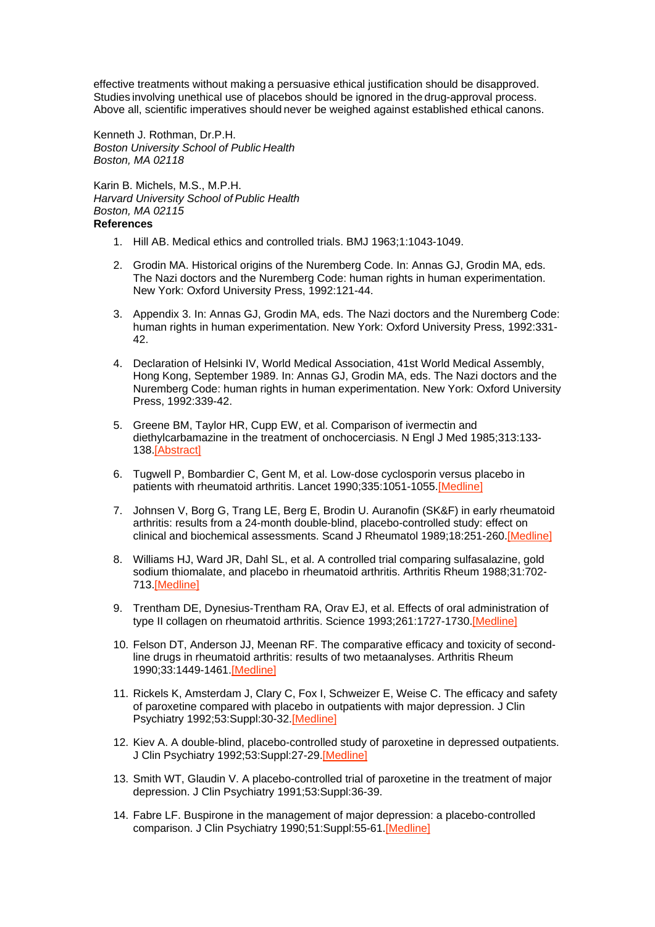effective treatments without making a persuasive ethical justification should be disapproved. Studies involving unethical use of placebos should be ignored in the drug-approval process. Above all, scientific imperatives should never be weighed against established ethical canons.

Kenneth J. Rothman, Dr.P.H. *Boston University School of Public Health Boston, MA 02118*

Karin B. Michels, M.S., M.P.H. *Harvard University School of Public Health Boston, MA 02115* **References**

- 1. Hill AB. Medical ethics and controlled trials. BMJ 1963;1:1043-1049.
- 2. Grodin MA. Historical origins of the Nuremberg Code. In: Annas GJ, Grodin MA, eds. The Nazi doctors and the Nuremberg Code: human rights in human experimentation. New York: Oxford University Press, 1992:121-44.
- 3. Appendix 3. In: Annas GJ, Grodin MA, eds. The Nazi doctors and the Nuremberg Code: human rights in human experimentation. New York: Oxford University Press, 1992:331- 42.
- 4. Declaration of Helsinki IV, World Medical Association, 41st World Medical Assembly, Hong Kong, September 1989. In: Annas GJ, Grodin MA, eds. The Nazi doctors and the Nuremberg Code: human rights in human experimentation. New York: Oxford University Press, 1992:339-42.
- 5. Greene BM, Taylor HR, Cupp EW, et al. Comparison of ivermectin and diethylcarbamazine in the treatment of onchocerciasis. N Engl J Med 1985;313:133- 138.[\[Abstract\]](http://content.nejm.org/cgi/ijlink?linkType=ABST&journalCode=nejm&resid=313/3/133)
- 6. Tugwell P, Bombardier C, Gent M, et al. Low-dose cyclosporin versus placebo in patients with rheumatoid arthritis. Lancet 1990;335:1051-1055[.\[Medline\]](http://content.nejm.org/cgi/external_ref?access_num=1970370&link_type=MED)
- 7. Johnsen V, Borg G, Trang LE, Berg E, Brodin U. Auranofin (SK&F) in early rheumatoid arthritis: results from a 24-month double-blind, placebo-controlled study: effect on clinical and biochemical assessments. Scand J Rheumatol 1989;18:251-260.[Medline]
- 8. Williams HJ, Ward JR, Dahl SL, et al. A controlled trial comparing sulfasalazine, gold sodium thiomalate, and placebo in rheumatoid arthritis. Arthritis Rheum 1988;31:702- 713.[\[Medline\]](http://content.nejm.org/cgi/external_ref?access_num=2898244&link_type=MED)
- 9. Trentham DE, Dynesius-Trentham RA, Orav EJ, et al. Effects of oral administration of type II collagen on rheumatoid arthritis. Science 1993;261:1727-1730.[\[Medline\]](http://content.nejm.org/cgi/external_ref?access_num=8378772&link_type=MED)
- 10. Felson DT, Anderson JJ, Meenan RF. The comparative efficacy and toxicity of secondline drugs in rheumatoid arthritis: results of two metaanalyses. Arthritis Rheum 1990;33:1449-1461.[\[Medline\]](http://content.nejm.org/cgi/external_ref?access_num=1977391&link_type=MED)
- 11. Rickels K, Amsterdam J, Clary C, Fox I, Schweizer E, Weise C. The efficacy and safety of paroxetine compared with placebo in outpatients with major depression. J Clin Psychiatry 1992;53:Suppl:30-32.[\[Medline\]](http://content.nejm.org/cgi/external_ref?access_num=1531820&link_type=MED)
- 12. Kiev A. A double-blind, placebo-controlled study of paroxetine in depressed outpatients. J Clin Psychiatry 1992;53:Suppl:27-29[.\[Medline\]](http://content.nejm.org/cgi/external_ref?access_num=1531818&link_type=MED)
- 13. Smith WT, Glaudin V. A placebo-controlled trial of paroxetine in the treatment of major depression. J Clin Psychiatry 1991;53:Suppl:36-39.
- 14. Fabre LF. Buspirone in the management of major depression: a placebo-controlled comparison. J Clin Psychiatry 1990;51:Suppl:55-61.[\[Medline\]](http://content.nejm.org/cgi/external_ref?access_num=2211570&link_type=MED)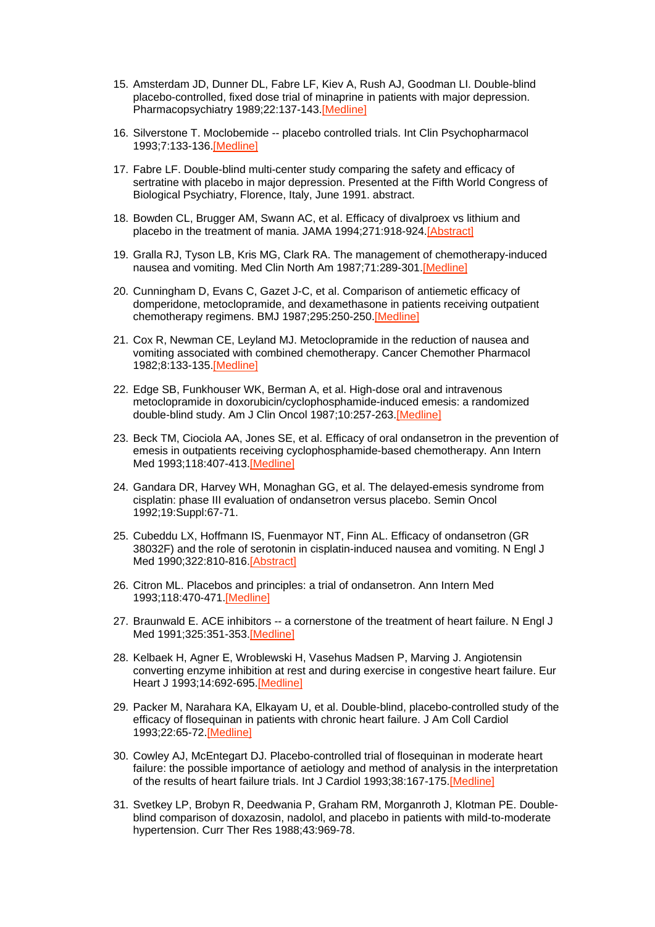- 15. Amsterdam JD, Dunner DL, Fabre LF, Kiev A, Rush AJ, Goodman LI. Double-blind placebo-controlled, fixed dose trial of minaprine in patients with major depression. Pharmacopsychiatry 1989;22:137-143.[\[Medline\]](http://content.nejm.org/cgi/external_ref?access_num=2668978&link_type=MED)
- 16. Silverstone T. Moclobemide -- placebo controlled trials. Int Clin Psychopharmacol 1993;7:133-136.[\[Medline\]](http://content.nejm.org/cgi/external_ref?access_num=8468433&link_type=MED)
- 17. Fabre LF. Double-blind multi-center study comparing the safety and efficacy of sertratine with placebo in major depression. Presented at the Fifth World Congress of Biological Psychiatry, Florence, Italy, June 1991. abstract.
- 18. Bowden CL, Brugger AM, Swann AC, et al. Efficacy of divalproex vs lithium and placebo in the treatment of mania. JAMA 1994;271:918-924[.\[Abstract\]](http://content.nejm.org/cgi/ijlink?linkType=ABST&journalCode=jama&resid=271/12/918)
- 19. Gralla RJ, Tyson LB, Kris MG, Clark RA. The management of chemotherapy-induced nausea and vomiting. Med Clin North Am 1987;71:289-301.[\[Medline\]](http://content.nejm.org/cgi/external_ref?access_num=3546981&link_type=MED)
- 20. Cunningham D, Evans C, Gazet J-C, et al. Comparison of antiemetic efficacy of domperidone, metoclopramide, and dexamethasone in patients receiving outpatient chemotherapy regimens. BMJ 1987;295:250-250.[\[Medline\]](http://content.nejm.org/cgi/external_ref?access_num=3115394&link_type=MED)
- 21. Cox R, Newman CE, Leyland MJ. Metoclopramide in the reduction of nausea and vomiting associated with combined chemotherapy. Cancer Chemother Pharmacol 1982;8:133-135.[\[Medline\]](http://content.nejm.org/cgi/external_ref?access_num=7046974&link_type=MED)
- 22. Edge SB, Funkhouser WK, Berman A, et al. High-dose oral and intravenous metoclopramide in doxorubicin/cyclophosphamide-induced emesis: a randomized double-blind study. Am J Clin Oncol 1987;10:257-263.[\[Medline\]](http://content.nejm.org/cgi/external_ref?access_num=3296734&link_type=MED)
- 23. Beck TM, Ciociola AA, Jones SE, et al. Efficacy of oral ondansetron in the prevention of emesis in outpatients receiving cyclophosphamide-based chemotherapy. Ann Intern Med 1993;118:407-413[.\[Medline\]](http://content.nejm.org/cgi/external_ref?access_num=8439113&link_type=MED)
- 24. Gandara DR, Harvey WH, Monaghan GG, et al. The delayed-emesis syndrome from cisplatin: phase III evaluation of ondansetron versus placebo. Semin Oncol 1992;19:Suppl:67-71.
- 25. Cubeddu LX, Hoffmann IS, Fuenmayor NT, Finn AL. Efficacy of ondansetron (GR 38032F) and the role of serotonin in cisplatin-induced nausea and vomiting. N Engl J Med 1990;322:810-816[.\[Abstract\]](http://content.nejm.org/cgi/ijlink?linkType=ABST&journalCode=nejm&resid=322/12/810)
- 26. Citron ML. Placebos and principles: a trial of ondansetron. Ann Intern Med 1993;118:470-471[.\[Medline\]](http://content.nejm.org/cgi/external_ref?access_num=8439123&link_type=MED)
- 27. Braunwald E. ACE inhibitors -- a cornerstone of the treatment of heart failure. N Engl J Med 1991;325:351-353[.\[Medline\]](http://content.nejm.org/cgi/external_ref?access_num=2057038&link_type=MED)
- 28. Kelbaek H, Agner E, Wroblewski H, Vasehus Madsen P, Marving J. Angiotensin converting enzyme inhibition at rest and during exercise in congestive heart failure. Eur Heart J 1993;14:692-695.[\[Medline\]](http://content.nejm.org/cgi/external_ref?access_num=8508863&link_type=MED)
- 29. Packer M, Narahara KA, Elkayam U, et al. Double-blind, placebo-controlled study of the efficacy of flosequinan in patients with chronic heart failure. J Am Coll Cardiol 1993;22:65-72[.\[Medline\]](http://content.nejm.org/cgi/external_ref?access_num=8509565&link_type=MED)
- 30. Cowley AJ, McEntegart DJ. Placebo-controlled trial of flosequinan in moderate heart failure: the possible importance of aetiology and method of analysis in the interpretation of the results of heart failure trials. Int J Cardiol 1993;38:167-175.[\[Medline\]](http://content.nejm.org/cgi/external_ref?access_num=8454379&link_type=MED)
- 31. Svetkey LP, Brobyn R, Deedwania P, Graham RM, Morganroth J, Klotman PE. Doubleblind comparison of doxazosin, nadolol, and placebo in patients with mild-to-moderate hypertension. Curr Ther Res 1988;43:969-78.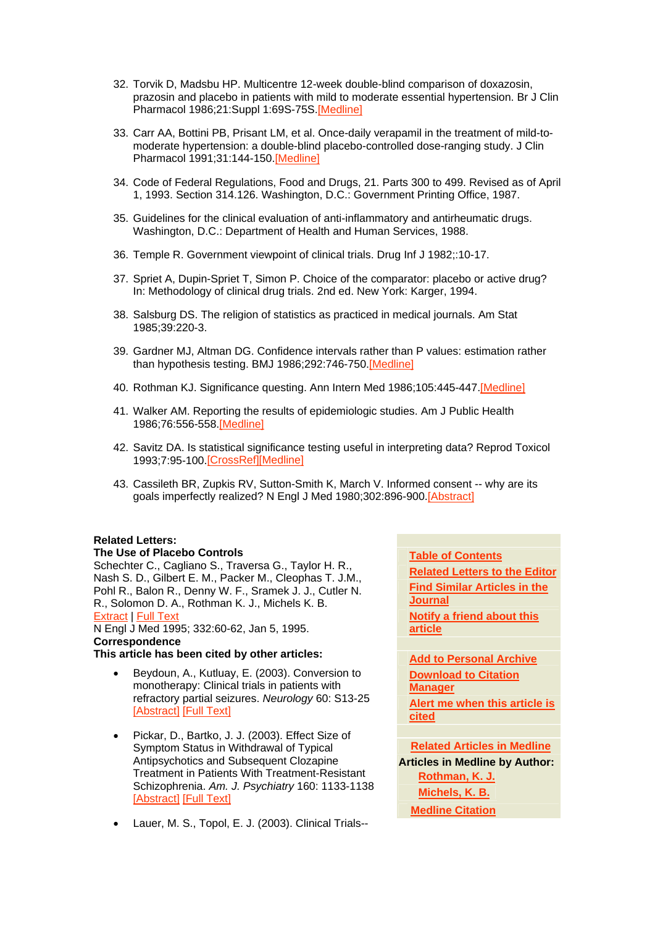- 32. Torvik D, Madsbu HP. Multicentre 12-week double-blind comparison of doxazosin, prazosin and placebo in patients with mild to moderate essential hypertension. Br J Clin Pharmacol 1986;21:Suppl 1:69S-75S[.\[Medline\]](http://content.nejm.org/cgi/external_ref?access_num=2939870&link_type=MED)
- 33. Carr AA, Bottini PB, Prisant LM, et al. Once-daily verapamil in the treatment of mild-tomoderate hypertension: a double-blind placebo-controlled dose-ranging study. J Clin Pharmacol 1991;31:144-150[.\[Medline\]](http://content.nejm.org/cgi/external_ref?access_num=2010560&link_type=MED)
- 34. Code of Federal Regulations, Food and Drugs, 21. Parts 300 to 499. Revised as of April 1, 1993. Section 314.126. Washington, D.C.: Government Printing Office, 1987.
- 35. Guidelines for the clinical evaluation of anti-inflammatory and antirheumatic drugs. Washington, D.C.: Department of Health and Human Services, 1988.
- 36. Temple R. Government viewpoint of clinical trials. Drug Inf J 1982;:10-17.
- 37. Spriet A, Dupin-Spriet T, Simon P. Choice of the comparator: placebo or active drug? In: Methodology of clinical drug trials. 2nd ed. New York: Karger, 1994.
- 38. Salsburg DS. The religion of statistics as practiced in medical journals. Am Stat 1985;39:220-3.
- 39. Gardner MJ, Altman DG. Confidence intervals rather than P values: estimation rather than hypothesis testing. BMJ 1986;292:746-750.[\[Medline\]](http://content.nejm.org/cgi/external_ref?access_num=3082422&link_type=MED)
- 40. Rothman KJ. Significance questing. Ann Intern Med 1986;105:445-447.[\[Medline\]](http://content.nejm.org/cgi/external_ref?access_num=3740684&link_type=MED)
- 41. Walker AM. Reporting the results of epidemiologic studies. Am J Public Health 1986;76:556-558[.\[Medline\]](http://content.nejm.org/cgi/external_ref?access_num=3963285&link_type=MED)
- 42. Savitz DA. Is statistical significance testing useful in interpreting data? Reprod Toxicol 1993;7:95-100[.\[CrossRef\]](http://content.nejm.org/cgi/external_ref?access_num=10.1016/0890-6238(93)90073-G&link_type=DOI)[\[Medline\]](http://content.nejm.org/cgi/external_ref?access_num=8499671&link_type=MED)
- 43. Cassileth BR, Zupkis RV, Sutton-Smith K, March V. Informed consent -- why are its goals imperfectly realized? N Engl J Med 1980;302:896-900.[\[Abstract\]](http://content.nejm.org/cgi/ijlink?linkType=ABST&journalCode=nejm&resid=302/16/896)

# **Related Letters:**

#### **[The Use of Placebo Controls](http://content.nejm.org/cgi/content/short/332/1/60)**

Schechter C., Cagliano S., Traversa G., Taylor H. R., Nash S. D., Gilbert E. M., Packer M., Cleophas T. J.M., Pohl R., Balon R., Denny W. F., Sramek J. J., Cutler N. R., Solomon D. A., Rothman K. J., Michels K. B. [Extract](http://content.nejm.org/cgi/content/extract/332/1/60) | [Full Text](http://content.nejm.org/cgi/content/full/332/1/60) 

N Engl J Med 1995; 332:60-62, Jan 5, 1995. **Correspondence**

**This article has been cited by other articles: [Add to Personal Archive](http://content.nejm.org/cgi/folders?action=addtofolder&wherefrom=JOURNALS&wrapped_id=nejm;331/6/394)** 

- Beydoun, A., Kutluay, E. (2003). Conversion to monotherapy: Clinical trials in patients with refractory partial seizures. *Neurology* 60: S13-25 [\[Abstract\]](http://www.neurology.org/cgi/content/abstract/60/11_suppl_4/S13) [\[Full Text\]](http://www.neurology.org/cgi/content/full/60/11_suppl_4/S13)
- Pickar, D., Bartko, J. J. (2003). Effect Size of Symptom Status in Withdrawal of Typical Antipsychotics and Subsequent Clozapine Treatment in Patients With Treatment-Resistant Schizophrenia. *Am. J. Psychiatry* 160: 1133-1138 [\[Abstract\]](http://ajp.psychiatryonline.org/cgi/content/abstract/160/6/1133) [\[Full Text\]](http://ajp.psychiatryonline.org/cgi/content/full/160/6/1133)
- Lauer, M. S., Topol, E. J. (2003). Clinical Trials--

**[Table of Contents](http://content.nejm.org/content/vol331/issue6/index.shtml) [Related Letters to the Editor](http://content.nejm.org/cgi/content/full/331/6/394?ijkey=a4cde8a4ec9f9fdc8d15ced82ce06c3b29d12795&keytype2=tf_ipsecsha#related_letters) [Find Similar Articles in the](http://content.nejm.org/cgi/search?qbe=nejm;331/6/394&journalcode=nejm&minscore=5000)  [Journal](http://content.nejm.org/cgi/search?qbe=nejm;331/6/394&journalcode=nejm&minscore=5000) [Notify a friend about this](http://content.nejm.org/cgi/mailafriend?url=http://content.nejm.org/cgi/content/short/331/6/394&title=The+Continuing+Unethical+Use+of+Placebo+Controls)  [article](http://content.nejm.org/cgi/mailafriend?url=http://content.nejm.org/cgi/content/short/331/6/394&title=The+Continuing+Unethical+Use+of+Placebo+Controls)**

**[Download to Citation](http://content.nejm.org/cgi/citmgr?gca=nejm;331/6/394)  [Manager](http://content.nejm.org/cgi/citmgr?gca=nejm;331/6/394) [Alert me when this article is](http://content.nejm.org/cgi/alerts/ctalert?alertType=citedby&addAlert=cited_by&saveAlert=no&cited_by_criteria_resid=nejm;331/6/394&return_type=article&return_url=%2Fcgi%2Fcontent%2Ffull%2F331%2F6%2F394%3Fijkey%3Da4cde8a4ec9f9fdc8d15ced82ce06c3b)  [cited](http://content.nejm.org/cgi/alerts/ctalert?alertType=citedby&addAlert=cited_by&saveAlert=no&cited_by_criteria_resid=nejm;331/6/394&return_type=article&return_url=%2Fcgi%2Fcontent%2Ffull%2F331%2F6%2F394%3Fijkey%3Da4cde8a4ec9f9fdc8d15ced82ce06c3b)**

**[Related Articles in Medline](http://content.nejm.org/cgi/external_ref?access_num=8028622&link_type=MED_NBRS) Articles in Medline by Author: [Rothman, K. J.](http://content.nejm.org/cgi/external_ref?access_num=Rothman+KJ&link_type=AUTHORSEARCH) [Michels, K. B.](http://content.nejm.org/cgi/external_ref?access_num=Michels+KB&link_type=AUTHORSEARCH) [Medline Citation](http://content.nejm.org/cgi/external_ref?access_num=8028622&link_type=PUBMED)**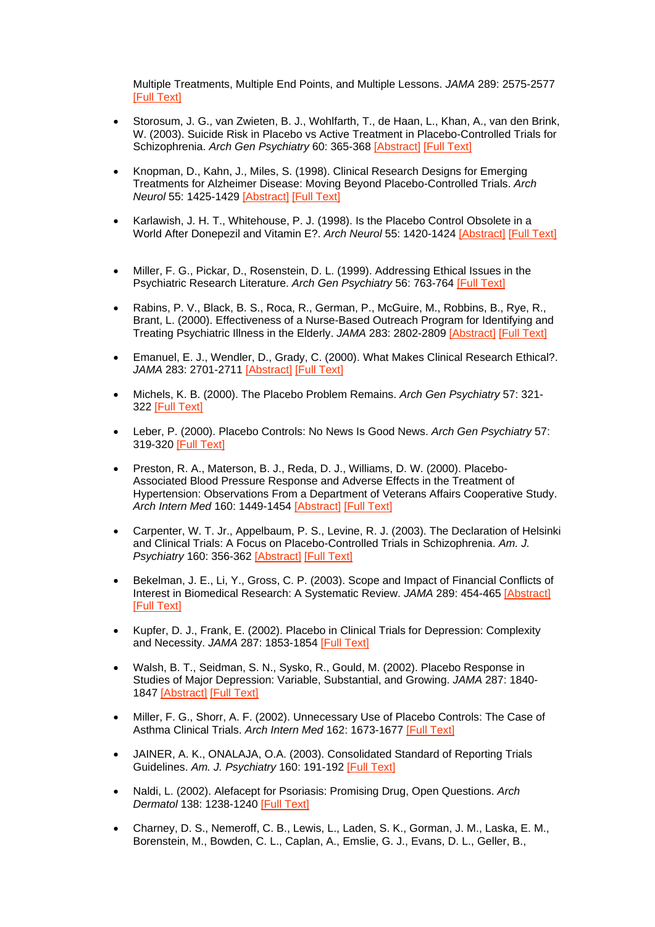Multiple Treatments, Multiple End Points, and Multiple Lessons. *JAMA* 289: 2575-2577 [Full Text]

- Storosum, J. G., van Zwieten, B. J., Wohlfarth, T., de Haan, L., Khan, A., van den Brink, W. (2003). Suicide Risk in Placebo vs Active Treatment in Placebo-Controlled Trials for Schizophrenia. *Arch Gen Psychiatry* 60: 365-368 [\[Abstract\]](http://archpsyc.ama-assn.org/cgi/content/abstract/60/4/365) [\[Full Text\]](http://archpsyc.ama-assn.org/cgi/content/full/60/4/365)
- Knopman, D., Kahn, J., Miles, S. (1998). Clinical Research Designs for Emerging Treatments for Alzheimer Disease: Moving Beyond Placebo-Controlled Trials. *Arch Neurol* 55: 1425-1429 [\[Abstract\]](http://archneur.ama-assn.org/cgi/content/abstract/55/11/1425) [\[Full Text\]](http://archneur.ama-assn.org/cgi/content/full/55/11/1425)
- Karlawish, J. H. T., Whitehouse, P. J. (1998). Is the Placebo Control Obsolete in a World After Donepezil and Vitamin E?. *Arch Neurol* 55: 1420-1424 [\[Abstract\]](http://archneur.ama-assn.org/cgi/content/abstract/55/11/1420) [\[Full Text\]](http://archneur.ama-assn.org/cgi/content/full/55/11/1420)
- Miller, F. G., Pickar, D., Rosenstein, D. L. (1999). Addressing Ethical Issues in the Psychiatric Research Literature. *Arch Gen Psychiatry* 56: 763-764 [\[Full Text\]](http://archpsyc.ama-assn.org/cgi/content/full/56/8/763)
- Rabins, P. V., Black, B. S., Roca, R., German, P., McGuire, M., Robbins, B., Rye, R., Brant, L. (2000). Effectiveness of a Nurse-Based Outreach Program for Identifying and Treating Psychiatric Illness in the Elderly. *JAMA* 283: 2802-2809 [\[Abstract\]](http://jama.ama-assn.org/cgi/content/abstract/283/21/2802) [\[Full Text\]](http://jama.ama-assn.org/cgi/content/full/283/21/2802)
- Emanuel, E. J., Wendler, D., Grady, C. (2000). What Makes Clinical Research Ethical?. *JAMA* 283: 2701-2711 [\[Abstract\]](http://jama.ama-assn.org/cgi/content/abstract/283/20/2701) [\[Full Text\]](http://jama.ama-assn.org/cgi/content/full/283/20/2701)
- Michels, K. B. (2000). The Placebo Problem Remains. *Arch Gen Psychiatry* 57: 321- 322 [\[Full Text\]](http://archpsyc.ama-assn.org/cgi/content/full/57/4/321)
- Leber, P. (2000). Placebo Controls: No News Is Good News. *Arch Gen Psychiatry* 57: 319-320 [\[Full Text\]](http://archpsyc.ama-assn.org/cgi/content/full/57/4/319)
- Preston, R. A., Materson, B. J., Reda, D. J., Williams, D. W. (2000). Placebo-Associated Blood Pressure Response and Adverse Effects in the Treatment of Hypertension: Observations From a Department of Veterans Affairs Cooperative Study. *Arch Intern Med* 160: 1449-1454 [\[Abstract\]](http://archinte.ama-assn.org/cgi/content/abstract/160/10/1449) [\[Full Text\]](http://archinte.ama-assn.org/cgi/content/full/160/10/1449)
- Carpenter, W. T. Jr., Appelbaum, P. S., Levine, R. J. (2003). The Declaration of Helsinki and Clinical Trials: A Focus on Placebo-Controlled Trials in Schizophrenia. *Am. J. Psychiatry* 160: 356-362 [\[Abstract\]](http://ajp.psychiatryonline.org/cgi/content/abstract/160/2/356) [\[Full Text\]](http://ajp.psychiatryonline.org/cgi/content/full/160/2/356)
- Bekelman, J. E., Li, Y., Gross, C. P. (2003). Scope and Impact of Financial Conflicts of Interest in Biomedical Research: A Systematic Review. *JAMA* 289: 454-465 [\[Abstract\]](http://jama.ama-assn.org/cgi/content/abstract/289/4/454) [Full Text]
- Kupfer, D. J., Frank, E. (2002). Placebo in Clinical Trials for Depression: Complexity and Necessity. *JAMA* 287: 1853-1854 [\[Full Text\]](http://jama.ama-assn.org/cgi/content/full/287/14/1853)
- Walsh, B. T., Seidman, S. N., Sysko, R., Gould, M. (2002). Placebo Response in Studies of Major Depression: Variable, Substantial, and Growing. *JAMA* 287: 1840- 1847 [\[Abstract\]](http://jama.ama-assn.org/cgi/content/abstract/287/14/1840) [\[Full Text\]](http://jama.ama-assn.org/cgi/content/full/287/14/1840)
- Miller, F. G., Shorr, A. F. (2002). Unnecessary Use of Placebo Controls: The Case of Asthma Clinical Trials. *Arch Intern Med* 162: 1673-1677 [\[Full Text\]](http://archinte.ama-assn.org/cgi/content/full/162/15/1673)
- JAINER, A. K., ONALAJA, O.A. (2003). Consolidated Standard of Reporting Trials Guidelines. *Am. J. Psychiatry* 160: 191-192 [\[Full Text\]](http://ajp.psychiatryonline.org/cgi/content/full/160/1/191-b)
- Naldi, L. (2002). Alefacept for Psoriasis: Promising Drug, Open Questions. *Arch Dermatol* 138: 1238-1240 [\[Full Text\]](http://archderm.ama-assn.org/cgi/content/full/138/9/1238)
- Charney, D. S., Nemeroff, C. B., Lewis, L., Laden, S. K., Gorman, J. M., Laska, E. M., Borenstein, M., Bowden, C. L., Caplan, A., Emslie, G. J., Evans, D. L., Geller, B.,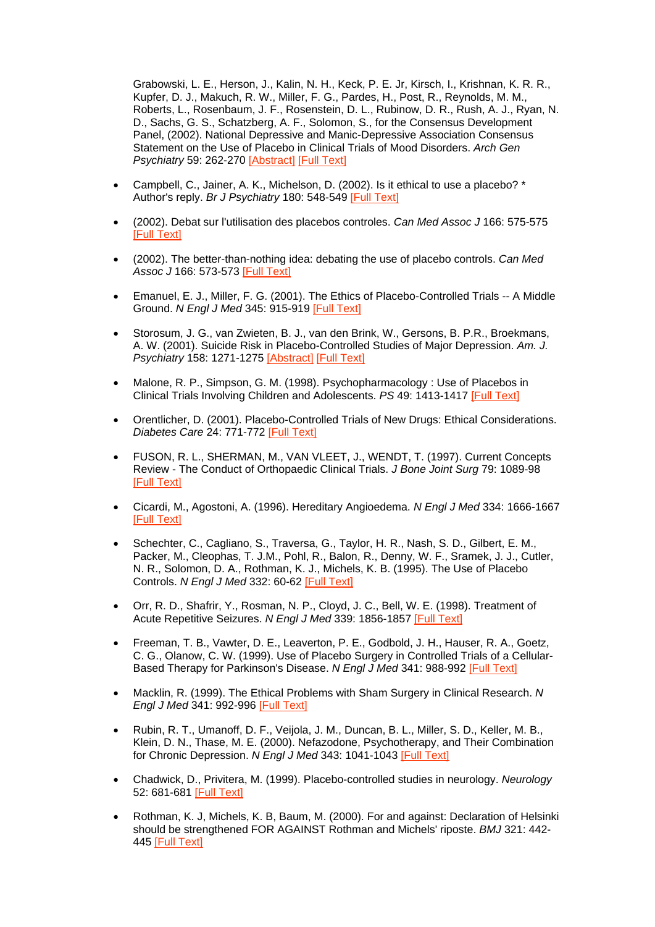Grabowski, L. E., Herson, J., Kalin, N. H., Keck, P. E. Jr, Kirsch, I., Krishnan, K. R. R., Kupfer, D. J., Makuch, R. W., Miller, F. G., Pardes, H., Post, R., Reynolds, M. M., Roberts, L., Rosenbaum, J. F., Rosenstein, D. L., Rubinow, D. R., Rush, A. J., Ryan, N. D., Sachs, G. S., Schatzberg, A. F., Solomon, S., for the Consensus Development Panel, (2002). National Depressive and Manic-Depressive Association Consensus Statement on the Use of Placebo in Clinical Trials of Mood Disorders. *Arch Gen Psychiatry* 59: 262-270 [\[Abstract\]](http://archpsyc.ama-assn.org/cgi/content/abstract/59/3/262) [\[Full Text\]](http://archpsyc.ama-assn.org/cgi/content/full/59/3/262)

- Campbell, C., Jainer, A. K., Michelson, D. (2002). Is it ethical to use a placebo? \* Author's reply. *Br J Psychiatry* 180: 548-549 [\[Full Text\]](http://bjp.rcpsych.org/cgi/content/full/180/6/548)
- (2002). Debat sur l'utilisation des placebos controles. *Can Med Assoc J* 166: 575-575 [Full Text]
- (2002). The better-than-nothing idea: debating the use of placebo controls. *Can Med Assoc J* 166: 573-573 [\[Full Text\]](http://www.cmaj.ca/cgi/content/full/166/5/573)
- Emanuel, E. J., Miller, F. G. (2001). The Ethics of Placebo-Controlled Trials -- A Middle Ground. *N Engl J Med* 345: 915-919 [\[Full Text\]](http://content.nejm.org/cgi/content/full/345/12/915)
- Storosum, J. G., van Zwieten, B. J., van den Brink, W., Gersons, B. P.R., Broekmans, A. W. (2001). Suicide Risk in Placebo-Controlled Studies of Major Depression. *Am. J. Psychiatry* 158: 1271-1275 [\[Abstract\]](http://ajp.psychiatryonline.org/cgi/content/abstract/158/8/1271) [\[Full Text\]](http://ajp.psychiatryonline.org/cgi/content/full/158/8/1271)
- Malone, R. P., Simpson, G. M. (1998). Psychopharmacology : Use of Placebos in Clinical Trials Involving Children and Adolescents. *PS* 49: 1413-1417 [\[Full Text\]](http://psychservices.psychiatryonline.org/cgi/content/full/49/11/1413)
- Orentlicher, D. (2001). Placebo-Controlled Trials of New Drugs: Ethical Considerations. *Diabetes Care* 24: 771-772 [\[Full Text\]](http://care.diabetesjournals.org/cgi/content/full/24/4/771)
- FUSON, R. L., SHERMAN, M., VAN VLEET, J., WENDT, T. (1997). Current Concepts Review - The Conduct of Orthopaedic Clinical Trials. *J Bone Joint Surg* 79: 1089-98 **[Full Text]**
- Cicardi, M., Agostoni, A. (1996). Hereditary Angioedema. *N Engl J Med* 334: 1666-1667 [Full Text]
- Schechter, C., Cagliano, S., Traversa, G., Taylor, H. R., Nash, S. D., Gilbert, E. M., Packer, M., Cleophas, T. J.M., Pohl, R., Balon, R., Denny, W. F., Sramek, J. J., Cutler, N. R., Solomon, D. A., Rothman, K. J., Michels, K. B. (1995). The Use of Placebo Controls. *N Engl J Med* 332: 60-62 [\[Full Text\]](http://content.nejm.org/cgi/content/full/332/1/60)
- Orr, R. D., Shafrir, Y., Rosman, N. P., Cloyd, J. C., Bell, W. E. (1998). Treatment of Acute Repetitive Seizures. *N Engl J Med* 339: 1856-1857 [\[Full Text\]](http://content.nejm.org/cgi/content/full/339/25/1856)
- Freeman, T. B., Vawter, D. E., Leaverton, P. E., Godbold, J. H., Hauser, R. A., Goetz, C. G., Olanow, C. W. (1999). Use of Placebo Surgery in Controlled Trials of a Cellular-Based Therapy for Parkinson's Disease. *N Engl J Med* 341: 988-992 [\[Full Text\]](http://content.nejm.org/cgi/content/full/341/13/988)
- Macklin, R. (1999). The Ethical Problems with Sham Surgery in Clinical Research. *N Engl J Med 341: 992-996 [Full Text]*
- Rubin, R. T., Umanoff, D. F., Veijola, J. M., Duncan, B. L., Miller, S. D., Keller, M. B., Klein, D. N., Thase, M. E. (2000). Nefazodone, Psychotherapy, and Their Combination for Chronic Depression. *N Engl J Med* 343: 1041-1043 [\[Full Text\]](http://content.nejm.org/cgi/content/full/343/14/1041)
- Chadwick, D., Privitera, M. (1999). Placebo-controlled studies in neurology. *Neurology* 52: 681-681 [\[Full Text\]](http://www.neurology.org/cgi/content/full/52/4/681)
- Rothman, K. J, Michels, K. B, Baum, M. (2000). For and against: Declaration of Helsinki should be strengthened FOR AGAINST Rothman and Michels' riposte. *BMJ* 321: 442- 445 [\[Full Text\]](http://www.bmj.com/cgi/content/full/321/7258/442)